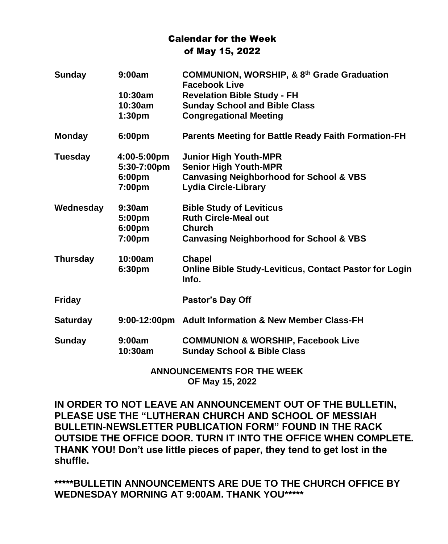## Calendar for the Week of May 15, 2022

| <b>Sunday</b>   | 9:00am             | COMMUNION, WORSHIP, & 8 <sup>th</sup> Grade Graduation<br><b>Facebook Live</b> |
|-----------------|--------------------|--------------------------------------------------------------------------------|
|                 | $10:30$ am         | <b>Revelation Bible Study - FH</b>                                             |
|                 | 10:30am            | <b>Sunday School and Bible Class</b>                                           |
|                 | 1:30 <sub>pm</sub> | <b>Congregational Meeting</b>                                                  |
| <b>Monday</b>   | 6:00pm             | <b>Parents Meeting for Battle Ready Faith Formation-FH</b>                     |
| Tuesday         | 4:00-5:00pm        | <b>Junior High Youth-MPR</b>                                                   |
|                 | 5:30-7:00pm        | <b>Senior High Youth-MPR</b>                                                   |
|                 | 6:00pm             | <b>Canvasing Neighborhood for School &amp; VBS</b>                             |
|                 | 7:00pm             | <b>Lydia Circle-Library</b>                                                    |
| Wednesday       | $9:30$ am          | <b>Bible Study of Leviticus</b>                                                |
|                 | 5:00pm             | <b>Ruth Circle-Meal out</b>                                                    |
|                 | 6:00pm             | <b>Church</b>                                                                  |
|                 | 7:00pm             | <b>Canvasing Neighborhood for School &amp; VBS</b>                             |
| <b>Thursday</b> | 10:00am            | <b>Chapel</b>                                                                  |
|                 | 6:30 <sub>pm</sub> | <b>Online Bible Study-Leviticus, Contact Pastor for Login</b><br>Info.         |
| <b>Friday</b>   |                    | Pastor's Day Off                                                               |
| <b>Saturday</b> |                    | 9:00-12:00pm Adult Information & New Member Class-FH                           |
| <b>Sunday</b>   | 9:00am             | <b>COMMUNION &amp; WORSHIP, Facebook Live</b>                                  |
|                 | 10:30am            | <b>Sunday School &amp; Bible Class</b>                                         |
|                 |                    |                                                                                |

**ANNOUNCEMENTS FOR THE WEEK OF May 15, 2022**

**IN ORDER TO NOT LEAVE AN ANNOUNCEMENT OUT OF THE BULLETIN, PLEASE USE THE "LUTHERAN CHURCH AND SCHOOL OF MESSIAH BULLETIN-NEWSLETTER PUBLICATION FORM" FOUND IN THE RACK OUTSIDE THE OFFICE DOOR. TURN IT INTO THE OFFICE WHEN COMPLETE. THANK YOU! Don't use little pieces of paper, they tend to get lost in the shuffle.**

**\*\*\*\*\*BULLETIN ANNOUNCEMENTS ARE DUE TO THE CHURCH OFFICE BY WEDNESDAY MORNING AT 9:00AM. THANK YOU\*\*\*\*\***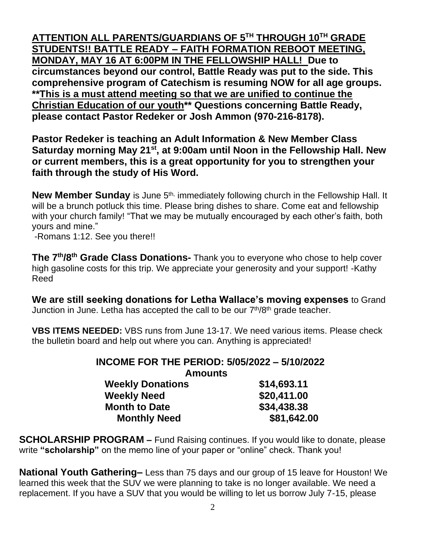**ATTENTION ALL PARENTS/GUARDIANS OF 5TH THROUGH 10TH GRADE STUDENTS!! BATTLE READY – FAITH FORMATION REBOOT MEETING, MONDAY, MAY 16 AT 6:00PM IN THE FELLOWSHIP HALL! Due to circumstances beyond our control, Battle Ready was put to the side. This comprehensive program of Catechism is resuming NOW for all age groups. \*\*This is a must attend meeting so that we are unified to continue the Christian Education of our youth\*\* Questions concerning Battle Ready, please contact Pastor Redeker or Josh Ammon (970-216-8178).**

**Pastor Redeker is teaching an Adult Information & New Member Class Saturday morning May 21st, at 9:00am until Noon in the Fellowship Hall. New or current members, this is a great opportunity for you to strengthen your faith through the study of His Word.** 

New Member Sunday is June 5<sup>th,</sup> immediately following church in the Fellowship Hall. It will be a brunch potluck this time. Please bring dishes to share. Come eat and fellowship with your church family! "That we may be mutually encouraged by each other's faith, both yours and mine."

-Romans 1:12. See you there!!

**The 7th/8th Grade Class Donations-** Thank you to everyone who chose to help cover high gasoline costs for this trip. We appreciate your generosity and your support! -Kathy Reed

**We are still seeking donations for Letha Wallace's moving expenses** to Grand Junction in June. Letha has accepted the call to be our 7<sup>th</sup>/8<sup>th</sup> grade teacher.

**VBS ITEMS NEEDED:** VBS runs from June 13-17. We need various items. Please check the bulletin board and help out where you can. Anything is appreciated!

## **INCOME FOR THE PERIOD: 5/05/2022 – 5/10/2022**

**Amounts**

| \$14,693.11 |
|-------------|
| \$20,411.00 |
| \$34,438.38 |
| \$81,642.00 |
|             |

**SCHOLARSHIP PROGRAM –** Fund Raising continues. If you would like to donate, please write **"scholarship"** on the memo line of your paper or "online" check. Thank you!

**National Youth Gathering–** Less than 75 days and our group of 15 leave for Houston! We learned this week that the SUV we were planning to take is no longer available. We need a replacement. If you have a SUV that you would be willing to let us borrow July 7-15, please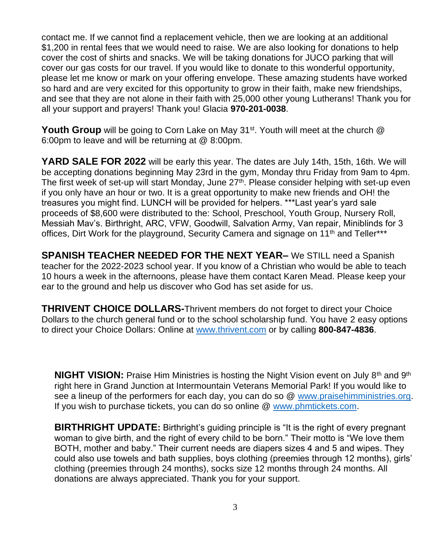contact me. If we cannot find a replacement vehicle, then we are looking at an additional \$1,200 in rental fees that we would need to raise. We are also looking for donations to help cover the cost of shirts and snacks. We will be taking donations for JUCO parking that will cover our gas costs for our travel. If you would like to donate to this wonderful opportunity, please let me know or mark on your offering envelope. These amazing students have worked so hard and are very excited for this opportunity to grow in their faith, make new friendships, and see that they are not alone in their faith with 25,000 other young Lutherans! Thank you for all your support and prayers! Thank you! Glacia **970-201-0038**.

**Youth Group** will be going to Corn Lake on May 31st. Youth will meet at the church @ 6:00pm to leave and will be returning at @ 8:00pm.

**YARD SALE FOR 2022** will be early this year. The dates are July 14th, 15th, 16th. We will be accepting donations beginning May 23rd in the gym, Monday thru Friday from 9am to 4pm. The first week of set-up will start Monday, June 27<sup>th</sup>. Please consider helping with set-up even if you only have an hour or two. It is a great opportunity to make new friends and OH! the treasures you might find. LUNCH will be provided for helpers. \*\*\*Last year's yard sale proceeds of \$8,600 were distributed to the: School, Preschool, Youth Group, Nursery Roll, Messiah Mav's. Birthright, ARC, VFW, Goodwill, Salvation Army, Van repair, Miniblinds for 3 offices, Dirt Work for the playground, Security Camera and signage on 11<sup>th</sup> and Teller<sup>\*\*\*</sup>

**SPANISH TEACHER NEEDED FOR THE NEXT YEAR–** We STILL need a Spanish teacher for the 2022-2023 school year. If you know of a Christian who would be able to teach 10 hours a week in the afternoons, please have them contact Karen Mead. Please keep your ear to the ground and help us discover who God has set aside for us.

**THRIVENT CHOICE DOLLARS-**Thrivent members do not forget to direct your Choice Dollars to the church general fund or to the school scholarship fund. You have 2 easy options to direct your Choice Dollars: Online at [www.thrivent.com](http://www.thrivent.com/) or by calling **800-847-4836**.

**NIGHT VISION:** Praise Him Ministries is hosting the Night Vision event on July 8<sup>th</sup> and 9<sup>th</sup> right here in Grand Junction at Intermountain Veterans Memorial Park! If you would like to see a lineup of the performers for each day, you can do so @ [www.praisehimministries.org.](http://www.praisehimministries.org/) If you wish to purchase tickets, you can do so online @ [www.phmtickets.com.](http://www.phmtickets.com/)

**BIRTHRIGHT UPDATE:** Birthright's guiding principle is "It is the right of every pregnant woman to give birth, and the right of every child to be born." Their motto is "We love them BOTH, mother and baby." Their current needs are diapers sizes 4 and 5 and wipes. They could also use towels and bath supplies, boys clothing (preemies through 12 months), girls' clothing (preemies through 24 months), socks size 12 months through 24 months. All donations are always appreciated. Thank you for your support.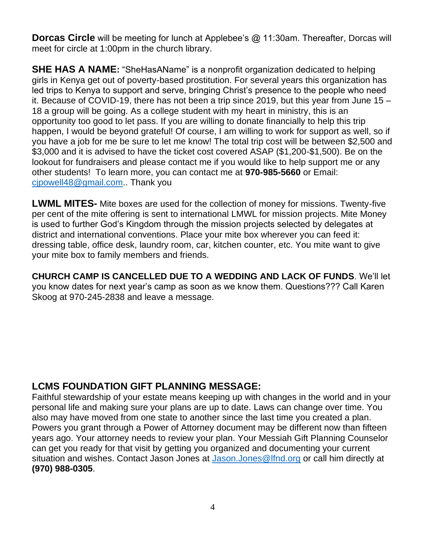**Dorcas Circle** will be meeting for lunch at Applebee's @ 11:30am. Thereafter, Dorcas will meet for circle at 1:00pm in the church library.

**SHE HAS A NAME:** "SheHasAName" is a nonprofit organization dedicated to helping girls in Kenya get out of poverty-based prostitution. For several years this organization has led trips to Kenya to support and serve, bringing Christ's presence to the people who need it. Because of COVID-19, there has not been a trip since 2019, but this year from June 15 – 18 a group will be going. As a college student with my heart in ministry, this is an opportunity too good to let pass. If you are willing to donate financially to help this trip happen, I would be beyond grateful! Of course, I am willing to work for support as well, so if you have a job for me be sure to let me know! The total trip cost will be between \$2,500 and \$3,000 and it is advised to have the ticket cost covered ASAP (\$1,200-\$1,500). Be on the lookout for fundraisers and please contact me if you would like to help support me or any other students! To learn more, you can contact me at **970-985-5660** or Email: [cjpowell48@gmail.com.](mailto:cjpowell48@gmail.com). Thank you

**LWML MITES-** Mite boxes are used for the collection of money for missions. Twenty-five per cent of the mite offering is sent to international LMWL for mission projects. Mite Money is used to further God's Kingdom through the mission projects selected by delegates at district and international conventions. Place your mite box wherever you can feed it: dressing table, office desk, laundry room, car, kitchen counter, etc. You mite want to give your mite box to family members and friends.

**CHURCH CAMP IS CANCELLED DUE TO A WEDDING AND LACK OF FUNDS**. We'll let you know dates for next year's camp as soon as we know them. Questions??? Call Karen Skoog at 970-245-2838 and leave a message.

## **LCMS FOUNDATION GIFT PLANNING MESSAGE:**

Faithful stewardship of your estate means keeping up with changes in the world and in your personal life and making sure your plans are up to date. Laws can change over time. You also may have moved from one state to another since the last time you created a plan. Powers you grant through a Power of Attorney document may be different now than fifteen years ago. Your attorney needs to review your plan. Your Messiah Gift Planning Counselor can get you ready for that visit by getting you organized and documenting your current situation and wishes. Contact Jason Jones at [Jason.Jones@lfnd.org](mailto:Jason.Jones@lfnd.org) or call him directly at **(970) 988-0305**.